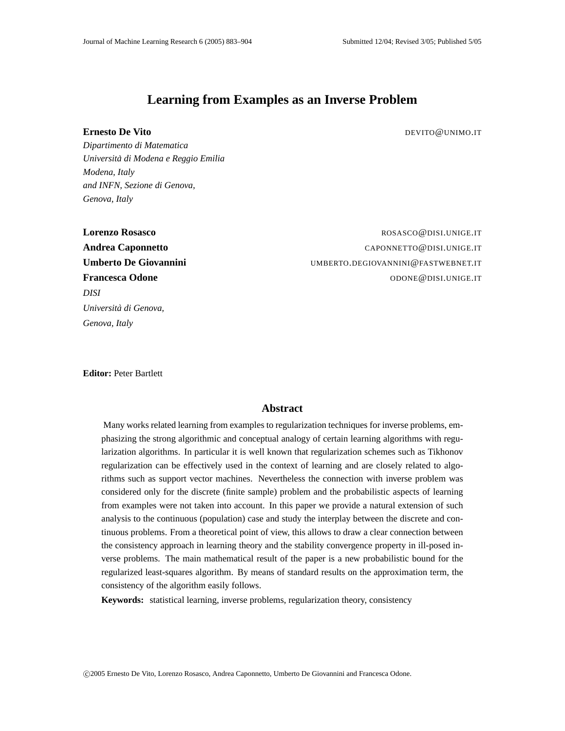# **Learning from Examples as an Inverse Problem**

#### **Ernesto De Vito** De Vito

*Dipartimento di Matematica Universita di Modena e Reggio Emilia ` Modena, Italy and INFN, Sezione di Genova, Genova, Italy*

*DISI Universita di Genova, ` Genova, Italy*

**Lorenzo Rosasco** ROSASCO@DISI.UNIGE.IT **Andrea Caponnetto** CAPONNETTO @DISI.UNIGE.IT **Umberto De Giovannini** UMBERTO.DEGIOVANNINI@FASTWEBNET.IT **Francesca Odone ODONE ODONE ODONE ODONE ODONE ODONE ODONE ODONE ODONE ODONE ODONE ODONE ODONE** 

**Editor:** Peter Bartlett

# **Abstract**

Many works related learning from examples to regularization techniques for inverse problems, emphasizing the strong algorithmic and conceptual analogy of certain learning algorithms with regularization algorithms. In particular it is well known that regularization schemes such as Tikhonov regularization can be effectively used in the context of learning and are closely related to algorithms such as support vector machines. Nevertheless the connection with inverse problem was considered only for the discrete (finite sample) problem and the probabilistic aspects of learning from examples were not taken into account. In this paper we provide a natural extension of such analysis to the continuous (population) case and study the interplay between the discrete and continuous problems. From a theoretical point of view, this allows to draw a clear connection between the consistency approach in learning theory and the stability convergence property in ill-posed inverse problems. The main mathematical result of the paper is a new probabilistic bound for the regularized least-squares algorithm. By means of standard results on the approximation term, the consistency of the algorithm easily follows.

**Keywords:** statistical learning, inverse problems, regularization theory, consistency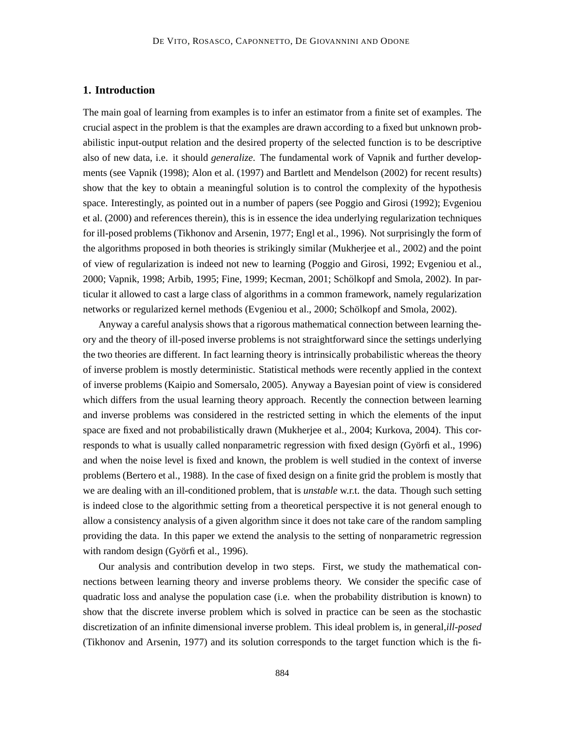# **1. Introduction**

The main goal of learning from examples is to infer an estimator from a finite set of examples. The crucial aspect in the problem is that the examples are drawn according to a fixed but unknown probabilistic input-output relation and the desired property of the selected function is to be descriptive also of new data, i.e. it should *generalize*. The fundamental work of Vapnik and further developments (see Vapnik (1998); Alon et al. (1997) and Bartlett and Mendelson (2002) for recent results) show that the key to obtain a meaningful solution is to control the complexity of the hypothesis space. Interestingly, as pointed out in a number of papers (see Poggio and Girosi (1992); Evgeniou et al. (2000) and references therein), this is in essence the idea underlying regularization techniques for ill-posed problems (Tikhonov and Arsenin, 1977; Engl et al., 1996). Not surprisingly the form of the algorithms proposed in both theories is strikingly similar (Mukherjee et al., 2002) and the point of view of regularization is indeed not new to learning (Poggio and Girosi, 1992; Evgeniou et al., 2000; Vapnik, 1998; Arbib, 1995; Fine, 1999; Kecman, 2001; Schölkopf and Smola, 2002). In particular it allowed to cast a large class of algorithms in a common framework, namely regularization networks or regularized kernel methods (Evgeniou et al., 2000; Schölkopf and Smola, 2002).

Anyway a careful analysis shows that a rigorous mathematical connection between learning theory and the theory of ill-posed inverse problems is not straightforward since the settings underlying the two theories are different. In fact learning theory is intrinsically probabilistic whereas the theory of inverse problem is mostly deterministic. Statistical methods were recently applied in the context of inverse problems (Kaipio and Somersalo, 2005). Anyway a Bayesian point of view is considered which differs from the usual learning theory approach. Recently the connection between learning and inverse problems was considered in the restricted setting in which the elements of the input space are fixed and not probabilistically drawn (Mukherjee et al., 2004; Kurkova, 2004). This corresponds to what is usually called nonparametric regression with fixed design (Györfi et al., 1996) and when the noise level is fixed and known, the problem is well studied in the context of inverse problems (Bertero et al., 1988). In the case of fixed design on a finite grid the problem is mostly that we are dealing with an ill-conditioned problem, that is *unstable* w.r.t. the data. Though such setting is indeed close to the algorithmic setting from a theoretical perspective it is not general enough to allow a consistency analysis of a given algorithm since it does not take care of the random sampling providing the data. In this paper we extend the analysis to the setting of nonparametric regression with random design (Györfi et al., 1996).

Our analysis and contribution develop in two steps. First, we study the mathematical connections between learning theory and inverse problems theory. We consider the specific case of quadratic loss and analyse the population case (i.e. when the probability distribution is known) to show that the discrete inverse problem which is solved in practice can be seen as the stochastic discretization of an infinite dimensional inverse problem. This ideal problem is, in general,*ill-posed* (Tikhonov and Arsenin, 1977) and its solution corresponds to the target function which is the fi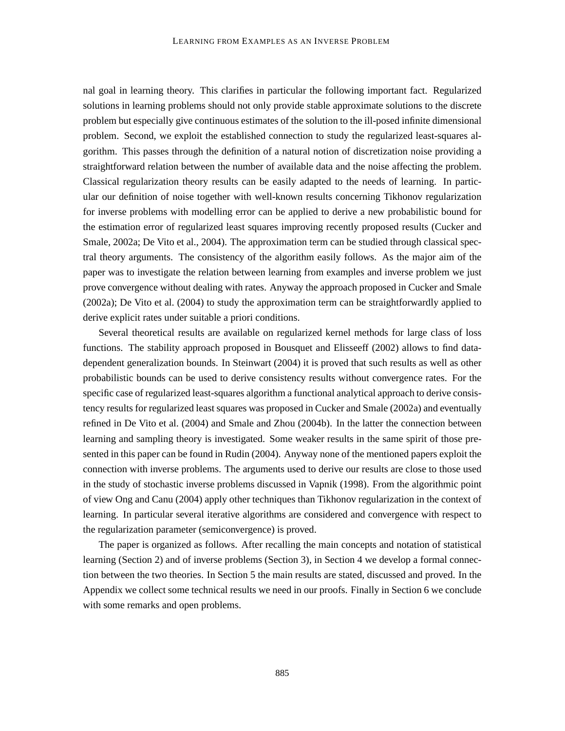nal goal in learning theory. This clarifies in particular the following important fact. Regularized solutions in learning problems should not only provide stable approximate solutions to the discrete problem but especially give continuous estimates of the solution to the ill-posed infinite dimensional problem. Second, we exploit the established connection to study the regularized least-squares algorithm. This passes through the definition of a natural notion of discretization noise providing a straightforward relation between the number of available data and the noise affecting the problem. Classical regularization theory results can be easily adapted to the needs of learning. In particular our definition of noise together with well-known results concerning Tikhonov regularization for inverse problems with modelling error can be applied to derive a new probabilistic bound for the estimation error of regularized least squares improving recently proposed results (Cucker and Smale, 2002a; De Vito et al., 2004). The approximation term can be studied through classical spectral theory arguments. The consistency of the algorithm easily follows. As the major aim of the paper was to investigate the relation between learning from examples and inverse problem we just prove convergence without dealing with rates. Anyway the approach proposed in Cucker and Smale (2002a); De Vito et al. (2004) to study the approximation term can be straightforwardly applied to derive explicit rates under suitable a priori conditions.

Several theoretical results are available on regularized kernel methods for large class of loss functions. The stability approach proposed in Bousquet and Elisseeff (2002) allows to find datadependent generalization bounds. In Steinwart (2004) it is proved that such results as well as other probabilistic bounds can be used to derive consistency results without convergence rates. For the specific case of regularized least-squares algorithm a functional analytical approach to derive consistency results for regularized least squares was proposed in Cucker and Smale (2002a) and eventually refined in De Vito et al. (2004) and Smale and Zhou (2004b). In the latter the connection between learning and sampling theory is investigated. Some weaker results in the same spirit of those presented in this paper can be found in Rudin (2004). Anyway none of the mentioned papers exploit the connection with inverse problems. The arguments used to derive our results are close to those used in the study of stochastic inverse problems discussed in Vapnik (1998). From the algorithmic point of view Ong and Canu (2004) apply other techniques than Tikhonov regularization in the context of learning. In particular several iterative algorithms are considered and convergence with respect to the regularization parameter (semiconvergence) is proved.

The paper is organized as follows. After recalling the main concepts and notation of statistical learning (Section 2) and of inverse problems (Section 3), in Section 4 we develop a formal connection between the two theories. In Section 5 the main results are stated, discussed and proved. In the Appendix we collect some technical results we need in our proofs. Finally in Section 6 we conclude with some remarks and open problems.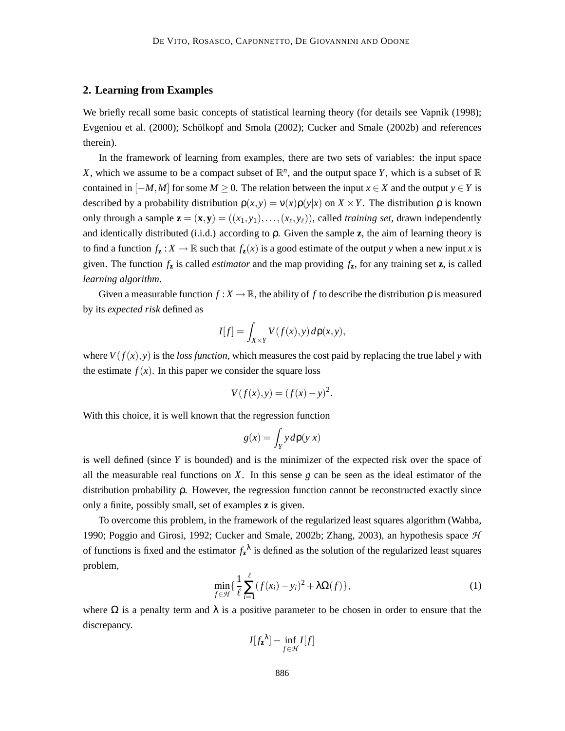# **2. Learning from Examples**

We briefly recall some basic concepts of statistical learning theory (for details see Vapnik (1998); Evgeniou et al. (2000); Schölkopf and Smola (2002); Cucker and Smale (2002b) and references therein).

In the framework of learning from examples, there are two sets of variables: the input space *X*, which we assume to be a compact subset of  $\mathbb{R}^n$ , and the output space *Y*, which is a subset of  $\mathbb{R}$ contained in  $[-M, M]$  for some  $M \ge 0$ . The relation between the input  $x \in X$  and the output  $y \in Y$  is described by a probability distribution  $\rho(x, y) = v(x)\rho(y|x)$  on  $X \times Y$ . The distribution  $\rho$  is known only through a sample  $\mathbf{z} = (\mathbf{x}, \mathbf{y}) = ((x_1, y_1), \dots, (x_\ell, y_\ell))$ , called *training set*, drawn independently and identically distributed (i.i.d.) according to ρ. Given the sample **z**, the aim of learning theory is to find a function  $f_{\mathbf{z}} : X \to \mathbb{R}$  such that  $f_{\mathbf{z}}(x)$  is a good estimate of the output *y* when a new input *x* is given. The function  $f_{\mathbf{z}}$  is called *estimator* and the map providing  $f_{\mathbf{z}}$ , for any training set  $\mathbf{z}$ , is called *learning algorithm*.

Given a measurable function  $f: X \to \mathbb{R}$ , the ability of f to describe the distribution  $\rho$  is measured by its *expected risk* defined as

$$
I[f] = \int_{X \times Y} V(f(x), y) d\rho(x, y),
$$

where  $V(f(x), y)$  is the *loss function*, which measures the cost paid by replacing the true label *y* with the estimate  $f(x)$ . In this paper we consider the square loss

$$
V(f(x), y) = (f(x) - y)^2.
$$

With this choice, it is well known that the regression function

$$
g(x) = \int_Y y d\rho(y|x)
$$

is well defined (since *Y* is bounded) and is the minimizer of the expected risk over the space of all the measurable real functions on *X*. In this sense *g* can be seen as the ideal estimator of the distribution probability ρ. However, the regression function cannot be reconstructed exactly since only a finite, possibly small, set of examples **z** is given.

To overcome this problem, in the framework of the regularized least squares algorithm (Wahba, 1990; Poggio and Girosi, 1992; Cucker and Smale, 2002b; Zhang, 2003), an hypothesis space  $H$ of functions is fixed and the estimator  $f_{\mathbf{z}}^{\lambda}$  is defined as the solution of the regularized least squares problem,

$$
\min_{f \in \mathcal{H}} \left\{ \frac{1}{\ell} \sum_{i=1}^{\ell} (f(x_i) - y_i)^2 + \lambda \Omega(f) \right\},\tag{1}
$$

where  $\Omega$  is a penalty term and  $\lambda$  is a positive parameter to be chosen in order to ensure that the discrepancy.

$$
I[f_{\mathbf{z}}^{\lambda}] - \inf_{f \in \mathcal{H}} I[f]
$$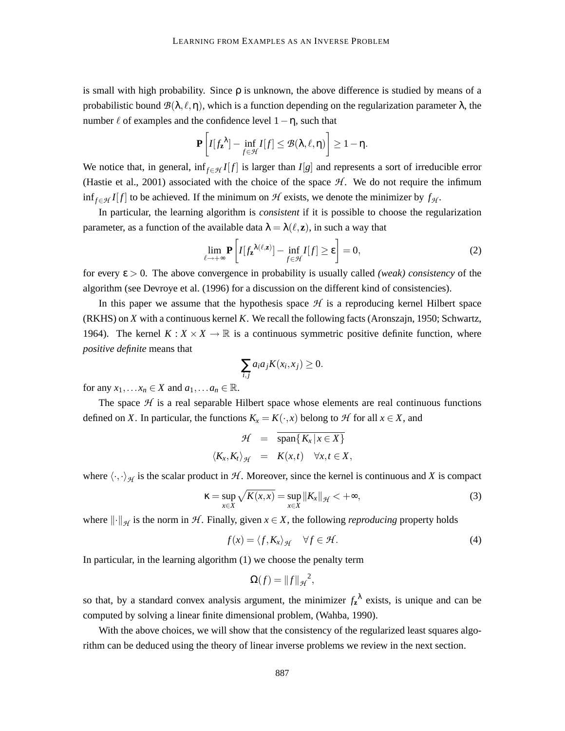is small with high probability. Since  $\rho$  is unknown, the above difference is studied by means of a probabilistic bound  $\mathcal{B}(\lambda, \ell, \eta)$ , which is a function depending on the regularization parameter  $\lambda$ , the number  $\ell$  of examples and the confidence level  $1-\eta$ , such that

$$
\mathbf{P}\left[I[f_{\mathbf{z}}^{\lambda}] - \inf_{f \in \mathcal{H}} I[f] \leq \mathcal{B}(\lambda,\ell,\eta)\right] \geq 1-\eta.
$$

We notice that, in general, inf<sub>*f∈H*</sub>  $I[f]$  is larger than  $I[g]$  and represents a sort of irreducible error (Hastie et al., 2001) associated with the choice of the space  $H$ . We do not require the infimum inf<sub>*f*∈H</sub> *I*[*f*] to be achieved. If the minimum on H exists, we denote the minimizer by  $f_{\mathcal{H}}$ .

In particular, the learning algorithm is *consistent* if it is possible to choose the regularization parameter, as a function of the available data  $\lambda = \lambda(\ell, z)$ , in such a way that

$$
\lim_{\ell \to +\infty} \mathbf{P} \left[ I[f_{\mathbf{z}}^{\lambda(\ell, \mathbf{z})}] - \inf_{f \in \mathcal{H}} I[f] \ge \varepsilon \right] = 0,
$$
\n(2)

for every ε > 0. The above convergence in probability is usually called *(weak) consistency* of the algorithm (see Devroye et al. (1996) for a discussion on the different kind of consistencies).

In this paper we assume that the hypothesis space  $H$  is a reproducing kernel Hilbert space (RKHS) on *X* with a continuous kernel *K*. We recall the following facts (Aronszajn, 1950; Schwartz, 1964). The kernel  $K: X \times X \to \mathbb{R}$  is a continuous symmetric positive definite function, where *positive definite* means that

$$
\sum_{i,j} a_i a_j K(x_i, x_j) \geq 0.
$$

for any  $x_1, \ldots x_n \in X$  and  $a_1, \ldots a_n \in \mathbb{R}$ .

The space  $H$  is a real separable Hilbert space whose elements are real continuous functions defined on *X*. In particular, the functions  $K_x = K(\cdot, x)$  belong to *H* for all  $x \in X$ , and

$$
\mathcal{H} = \overline{\text{span}\{K_x | x \in X\}}\langle K_x, K_t \rangle_{\mathcal{H}} = K(x,t) \quad \forall x, t \in X,
$$

where  $\langle \cdot, \cdot \rangle_{\mathcal{H}}$  is the scalar product in H. Moreover, since the kernel is continuous and X is compact

$$
\kappa = \sup_{x \in X} \sqrt{K(x, x)} = \sup_{x \in X} ||K_x||_{\mathcal{H}} < +\infty,
$$
\n(3)

where  $\|\cdot\|_{\mathcal{H}}$  is the norm in  $\mathcal{H}$ . Finally, given  $x \in X$ , the following *reproducing* property holds

$$
f(x) = \langle f, K_x \rangle_{\mathcal{H}} \quad \forall f \in \mathcal{H}.
$$
 (4)

In particular, in the learning algorithm (1) we choose the penalty term

$$
\Omega(f) = ||f||_{\mathcal{H}}^2,
$$

so that, by a standard convex analysis argument, the minimizer  $f_{\mathbf{z}}^{\lambda}$  exists, is unique and can be computed by solving a linear finite dimensional problem, (Wahba, 1990).

With the above choices, we will show that the consistency of the regularized least squares algorithm can be deduced using the theory of linear inverse problems we review in the next section.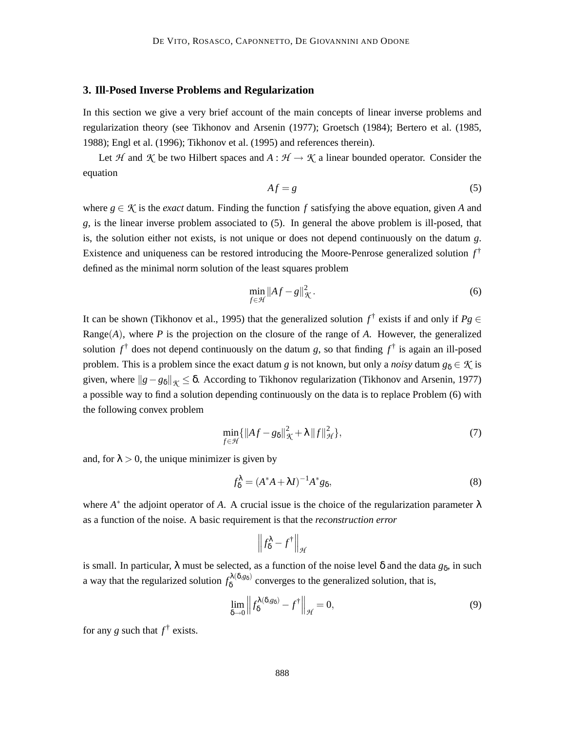# **3. Ill-Posed Inverse Problems and Regularization**

In this section we give a very brief account of the main concepts of linear inverse problems and regularization theory (see Tikhonov and Arsenin (1977); Groetsch (1984); Bertero et al. (1985, 1988); Engl et al. (1996); Tikhonov et al. (1995) and references therein).

Let H and K be two Hilbert spaces and  $A : H \to K$  a linear bounded operator. Consider the equation

$$
Af = g \tag{5}
$$

where  $g \in \mathcal{K}$  is the *exact* datum. Finding the function f satisfying the above equation, given A and *g*, is the linear inverse problem associated to (5). In general the above problem is ill-posed, that is, the solution either not exists, is not unique or does not depend continuously on the datum *g*. Existence and uniqueness can be restored introducing the Moore-Penrose generalized solution *f* † defined as the minimal norm solution of the least squares problem

$$
\min_{f \in \mathcal{H}} \|Af - g\|_{\mathcal{K}}^2.
$$
\n(6)

It can be shown (Tikhonov et al., 1995) that the generalized solution  $f^{\dagger}$  exists if and only if  $Pg \in$ Range(*A*), where *P* is the projection on the closure of the range of *A*. However, the generalized solution  $f^{\dagger}$  does not depend continuously on the datum *g*, so that finding  $f^{\dagger}$  is again an ill-posed problem. This is a problem since the exact datum *g* is not known, but only a *noisy* datum  $g_{\delta} \in \mathcal{K}$  is given, where  $||g-g_{\delta}||_{\mathcal{K}} \leq \delta$ . According to Tikhonov regularization (Tikhonov and Arsenin, 1977) a possible way to find a solution depending continuously on the data is to replace Problem (6) with the following convex problem

$$
\min_{f \in \mathcal{H}} \{ \|Af - g_{\delta}\|_{\mathcal{K}}^2 + \lambda \|f\|_{\mathcal{H}}^2 \},\tag{7}
$$

and, for  $\lambda > 0$ , the unique minimizer is given by

$$
f_{\delta}^{\lambda} = (A^*A + \lambda I)^{-1}A^*g_{\delta},\tag{8}
$$

where  $A^*$  the adjoint operator of A. A crucial issue is the choice of the regularization parameter  $\lambda$ as a function of the noise. A basic requirement is that the *reconstruction error*

$$
\left\|f^{\lambda}_{\delta} - f^{\dagger}\right\|_{\mathcal{H}}
$$

is small. In particular,  $\lambda$  must be selected, as a function of the noise level  $\delta$  and the data  $g_\delta$ , in such a way that the regularized solution  $f_8^{\lambda(\delta,g_\delta)}$  $\delta^{\mathcal{A}(0,g_{\delta})}$  converges to the generalized solution, that is,

$$
\lim_{\delta \to 0} \left\| f_{\delta}^{\lambda(\delta, g_{\delta})} - f^{\dagger} \right\|_{\mathcal{H}} = 0,
$$
\n(9)

for any *g* such that  $f^{\dagger}$  exists.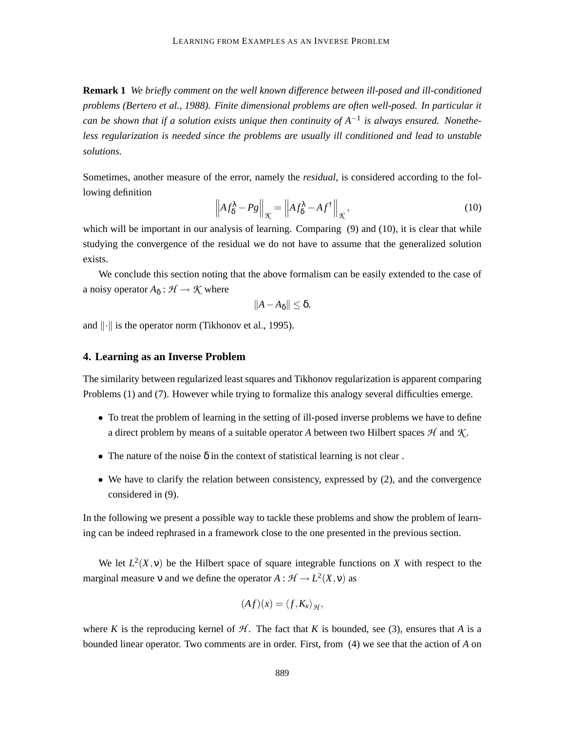**Remark 1** *We briefly comment on the well known difference between ill-posed and ill-conditioned problems (Bertero et al., 1988). Finite dimensional problems are often well-posed. In particular it can be shown that if a solution exists unique then continuity of A*−<sup>1</sup> *is always ensured. Nonetheless regularization is needed since the problems are usually ill conditioned and lead to unstable solutions.*

Sometimes, another measure of the error, namely the *residual*, is considered according to the following definition

$$
\left\| A f_{\delta}^{\lambda} - P g \right\|_{\mathcal{K}} = \left\| A f_{\delta}^{\lambda} - A f^{\dagger} \right\|_{\mathcal{K}},\tag{10}
$$

which will be important in our analysis of learning. Comparing (9) and (10), it is clear that while studying the convergence of the residual we do not have to assume that the generalized solution exists.

We conclude this section noting that the above formalism can be easily extended to the case of a noisy operator  $A_{\delta}: \mathcal{H} \to \mathcal{K}$  where

$$
||A-A_{\delta}||\leq\delta,
$$

and  $\|\cdot\|$  is the operator norm (Tikhonov et al., 1995).

## **4. Learning as an Inverse Problem**

The similarity between regularized least squares and Tikhonov regularization is apparent comparing Problems (1) and (7). However while trying to formalize this analogy several difficulties emerge.

- To treat the problem of learning in the setting of ill-posed inverse problems we have to define a direct problem by means of a suitable operator A between two Hilbert spaces  $H$  and  $K$ .
- The nature of the noise  $\delta$  in the context of statistical learning is not clear.
- We have to clarify the relation between consistency, expressed by (2), and the convergence considered in (9).

In the following we present a possible way to tackle these problems and show the problem of learning can be indeed rephrased in a framework close to the one presented in the previous section.

We let  $L^2(X, v)$  be the Hilbert space of square integrable functions on X with respect to the marginal measure v and we define the operator  $A: \mathcal{H} \to L^2(X, v)$  as

$$
(Af)(x)=\langle f,K_x\rangle_{\mathcal{H}},
$$

where *K* is the reproducing kernel of  $H$ . The fact that *K* is bounded, see (3), ensures that *A* is a bounded linear operator. Two comments are in order. First, from (4) we see that the action of *A* on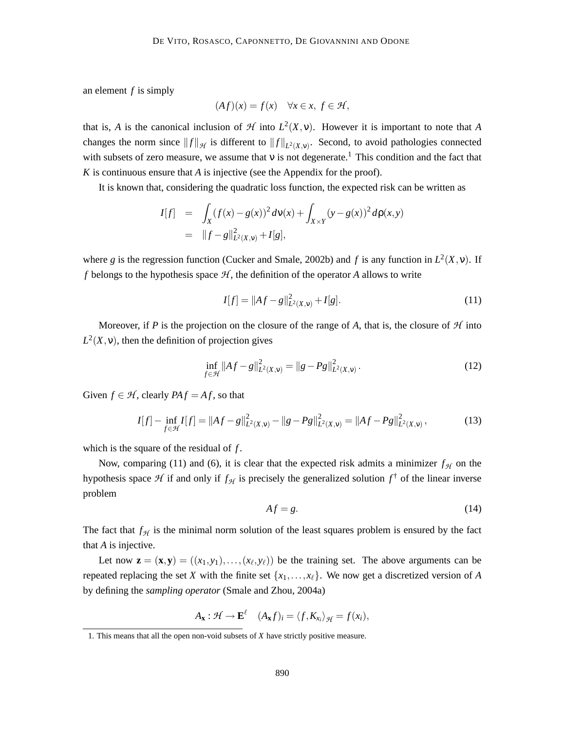an element *f* is simply

$$
(Af)(x) = f(x) \quad \forall x \in x, \ f \in \mathcal{H},
$$

that is, *A* is the canonical inclusion of  $H$  into  $L^2(X, v)$ . However it is important to note that *A* changes the norm since  $||f||_{\mathcal{H}}$  is different to  $||f||_{L^2(X, v)}$ . Second, to avoid pathologies connected with subsets of zero measure, we assume that  $v$  is not degenerate.<sup>1</sup> This condition and the fact that *K* is continuous ensure that *A* is injective (see the Appendix for the proof).

It is known that, considering the quadratic loss function, the expected risk can be written as

$$
I[f] = \int_X (f(x) - g(x))^2 d\nu(x) + \int_{X \times Y} (y - g(x))^2 d\rho(x, y)
$$
  
=  $||f - g||^2_{L^2(X, y)} + I[g],$ 

where *g* is the regression function (Cucker and Smale, 2002b) and *f* is any function in  $L^2(X, v)$ . If *f* belongs to the hypothesis space  $H$ , the definition of the operator *A* allows to write

$$
I[f] = ||Af - g||_{L^{2}(X, \nu)}^{2} + I[g].
$$
\n(11)

Moreover, if *P* is the projection on the closure of the range of *A*, that is, the closure of  $H$  into  $L^2(X, v)$ , then the definition of projection gives

$$
\inf_{f \in \mathcal{H}} \|Af - g\|_{L^2(X, \nu)}^2 = \|g - Pg\|_{L^2(X, \nu)}^2.
$$
\n(12)

Given  $f \in \mathcal{H}$ , clearly  $PA f = Af$ , so that

$$
I[f] - \inf_{f \in \mathcal{H}} I[f] = \|Af - g\|_{L^2(X,\nu)}^2 - \|g - Pg\|_{L^2(X,\nu)}^2 = \|Af - Pg\|_{L^2(X,\nu)}^2,\tag{13}
$$

which is the square of the residual of *f*.

Now, comparing (11) and (6), it is clear that the expected risk admits a minimizer  $f<sub>H</sub>$  on the hypothesis space  $H$  if and only if  $f_H$  is precisely the generalized solution  $f^{\dagger}$  of the linear inverse problem

$$
Af = g.\tag{14}
$$

The fact that  $f_{\mathcal{H}}$  is the minimal norm solution of the least squares problem is ensured by the fact that *A* is injective.

Let now  $\mathbf{z} = (\mathbf{x}, \mathbf{y}) = ((x_1, y_1), \dots, (x_\ell, y_\ell))$  be the training set. The above arguments can be repeated replacing the set *X* with the finite set  $\{x_1, \ldots, x_\ell\}$ . We now get a discretized version of *A* by defining the *sampling operator* (Smale and Zhou, 2004a)

$$
A_{\mathbf{x}} : \mathcal{H} \to \mathbf{E}^{\ell} \quad (A_{\mathbf{x}}f)_i = \langle f, K_{x_i} \rangle_{\mathcal{H}} = f(x_i),
$$

<sup>1.</sup> This means that all the open non-void subsets of *X* have strictly positive measure.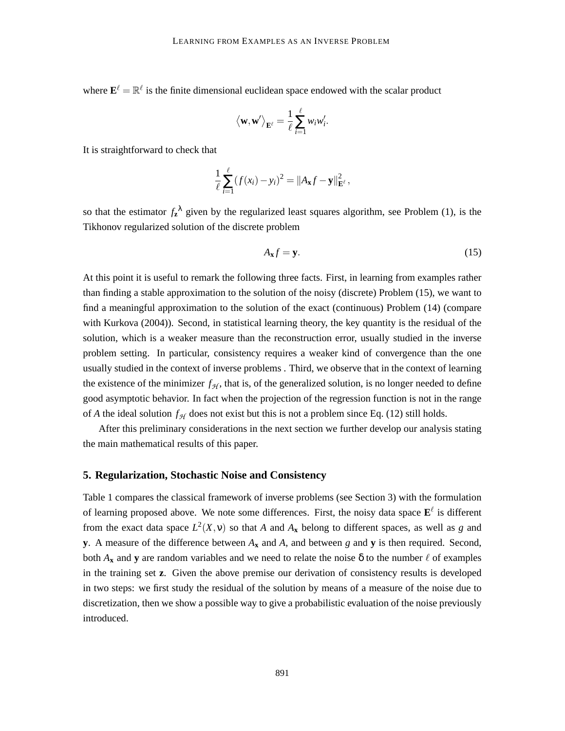where  $\mathbf{E}^{\ell} = \mathbb{R}^{\ell}$  is the finite dimensional euclidean space endowed with the scalar product

$$
\langle \mathbf{w}, \mathbf{w}' \rangle_{\mathbf{E}^{\ell}} = \frac{1}{\ell} \sum_{i=1}^{\ell} w_i w'_i.
$$

It is straightforward to check that

$$
\frac{1}{\ell} \sum_{i=1}^{\ell} (f(x_i) - y_i)^2 = ||A_{\mathbf{x}}f - \mathbf{y}||_{\mathbf{E}^{\ell}}^2,
$$

so that the estimator  $f_{\mathbf{z}}^{\lambda}$  given by the regularized least squares algorithm, see Problem (1), is the Tikhonov regularized solution of the discrete problem

$$
A_{x}f = y. \tag{15}
$$

At this point it is useful to remark the following three facts. First, in learning from examples rather than finding a stable approximation to the solution of the noisy (discrete) Problem (15), we want to find a meaningful approximation to the solution of the exact (continuous) Problem (14) (compare with Kurkova (2004)). Second, in statistical learning theory, the key quantity is the residual of the solution, which is a weaker measure than the reconstruction error, usually studied in the inverse problem setting. In particular, consistency requires a weaker kind of convergence than the one usually studied in the context of inverse problems . Third, we observe that in the context of learning the existence of the minimizer  $f_{\mathcal{H}}$ , that is, of the generalized solution, is no longer needed to define good asymptotic behavior. In fact when the projection of the regression function is not in the range of *A* the ideal solution  $f_{\mathcal{H}}$  does not exist but this is not a problem since Eq. (12) still holds.

After this preliminary considerations in the next section we further develop our analysis stating the main mathematical results of this paper.

### **5. Regularization, Stochastic Noise and Consistency**

Table 1 compares the classical framework of inverse problems (see Section 3) with the formulation of learning proposed above. We note some differences. First, the noisy data space  $\mathbf{E}^{\ell}$  is different from the exact data space  $L^2(X, y)$  so that *A* and  $A_x$  belong to different spaces, as well as *g* and **y**. A measure of the difference between  $A_x$  and  $A$ , and between  $g$  and  $y$  is then required. Second, both  $A_{\bf x}$  and **y** are random variables and we need to relate the noise  $\delta$  to the number  $\ell$  of examples in the training set **z**. Given the above premise our derivation of consistency results is developed in two steps: we first study the residual of the solution by means of a measure of the noise due to discretization, then we show a possible way to give a probabilistic evaluation of the noise previously introduced.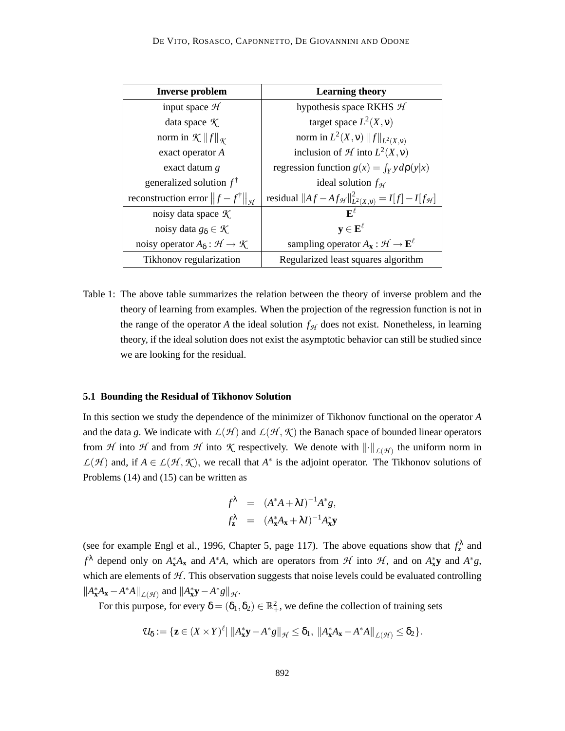| <b>Inverse problem</b>                                   | <b>Learning theory</b>                                                         |
|----------------------------------------------------------|--------------------------------------------------------------------------------|
| input space $H$                                          | hypothesis space RKHS $H$                                                      |
| data space $K$                                           | target space $L^2(X, v)$                                                       |
| norm in $\mathcal{K}$    $f$    $\mathcal{K}$            | norm in $L^2(X, v)$ $  f  _{L^2(X, v)}$                                        |
| exact operator A                                         | inclusion of $\mathcal H$ into $L^2(X, v)$                                     |
| exact datum g                                            | regression function $g(x) = \int_Y y d\rho(y x)$                               |
| generalized solution $f^{\dagger}$                       | ideal solution $f_{\mathcal{H}}$                                               |
| reconstruction error $  f - f^{\dagger}  _{\mathcal{H}}$ | residual $  Af - Af_{\mathcal{H}}  ^2_{L^2(X, v)} = I[f] - I[f_{\mathcal{H}}]$ |
| noisy data space $K$                                     | $\mathbf{F}^{\ell}$                                                            |
| noisy data $g_{\delta} \in \mathcal{K}$                  | $y \in E^{\ell}$                                                               |
| noisy operator $A_{\delta}: \mathcal{H} \to \mathcal{K}$ | sampling operator $A_{x}: \mathcal{H} \to \mathbf{E}^{\ell}$                   |
| Tikhonov regularization                                  | Regularized least squares algorithm                                            |

Table 1: The above table summarizes the relation between the theory of inverse problem and the theory of learning from examples. When the projection of the regression function is not in the range of the operator *A* the ideal solution  $f<sub>H</sub>$  does not exist. Nonetheless, in learning theory, if the ideal solution does not exist the asymptotic behavior can still be studied since we are looking for the residual.

### **5.1 Bounding the Residual of Tikhonov Solution**

In this section we study the dependence of the minimizer of Tikhonov functional on the operator *A* and the data g. We indicate with  $L(\mathcal{H})$  and  $L(\mathcal{H}, \mathcal{K})$  the Banach space of bounded linear operators from H into H and from H into K respectively. We denote with  $\left\|\cdot\right\|_{\mathcal{L}(\mathcal{H})}$  the uniform norm in  $L(\mathcal{H})$  and, if  $A \in L(\mathcal{H}, \mathcal{K})$ , we recall that  $A^*$  is the adjoint operator. The Tikhonov solutions of Problems (14) and (15) can be written as

$$
f^{\lambda} = (A^*A + \lambda I)^{-1}A^*g,
$$
  

$$
f^{\lambda}_{\mathbf{z}} = (A^*_{\mathbf{x}}A_{\mathbf{x}} + \lambda I)^{-1}A^*_{\mathbf{x}}\mathbf{y}
$$

(see for example Engl et al., 1996, Chapter 5, page 117). The above equations show that  $f_{\mathbf{z}}^{\lambda}$  and  $f^{\lambda}$  depend only on  $A_{\bf x}^*A_{\bf x}$  and  $A^*A$ , which are operators from  $H$  into  $H$ , and on  $A_{\bf x}^*{\bf y}$  and  $A^*g$ , which are elements of  $H$ . This observation suggests that noise levels could be evaluated controlling  $\left\|A_{\mathbf{x}}^*A_{\mathbf{x}} - A^*A\right\|_{\mathcal{L}(\mathcal{H})}$  and  $\left\|A_{\mathbf{x}}^*\mathbf{y} - A^*g\right\|_{\mathcal{H}}$ .

For this purpose, for every  $\delta = (\delta_1, \delta_2) \in \mathbb{R}^2_+$ , we define the collection of training sets

$$
\mathcal{U}_{\delta} := \{ \mathbf{z} \in (X \times Y)^{\ell} | \, \|A_{\mathbf{x}}^* \mathbf{y} - A^* g\|_{\mathcal{H}} \leq \delta_1, \, \|A_{\mathbf{x}}^* A_{\mathbf{x}} - A^* A\|_{\mathcal{L}(\mathcal{H})} \leq \delta_2 \}.
$$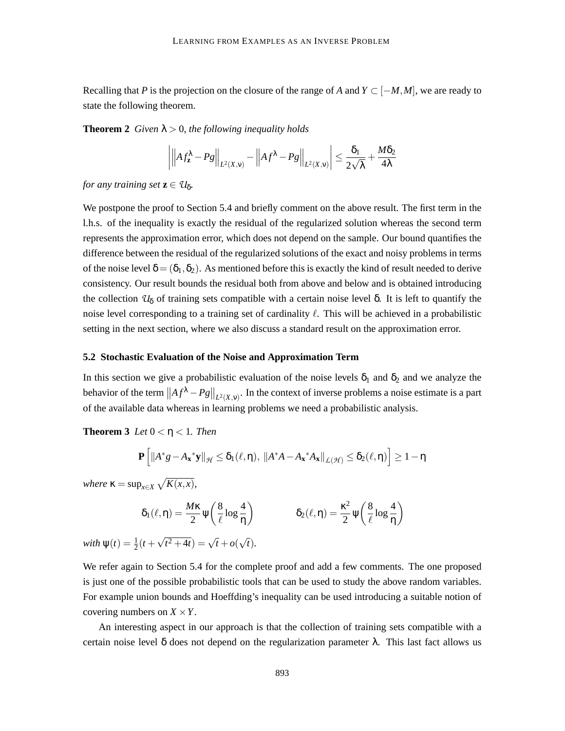Recalling that *P* is the projection on the closure of the range of *A* and  $Y \subset [-M, M]$ , we are ready to state the following theorem.

**Theorem 2** *Given*  $\lambda > 0$ *, the following inequality holds* 

$$
\left| \left| A f_{\mathbf{z}}^{\lambda} - P g \right| \right|_{L^{2}(X,\mathsf{v})} - \left| A f^{\lambda} - P g \right|_{L^{2}(X,\mathsf{v})} \leq \frac{\delta_{1}}{2\sqrt{\lambda}} + \frac{M\delta_{2}}{4\lambda}
$$

*for any training set*  $z \in U_{\delta}$ .

We postpone the proof to Section 5.4 and briefly comment on the above result. The first term in the l.h.s. of the inequality is exactly the residual of the regularized solution whereas the second term represents the approximation error, which does not depend on the sample. Our bound quantifies the difference between the residual of the regularized solutions of the exact and noisy problems in terms of the noise level  $\delta = (\delta_1, \delta_2)$ . As mentioned before this is exactly the kind of result needed to derive consistency. Our result bounds the residual both from above and below and is obtained introducing the collection  $U_{\delta}$  of training sets compatible with a certain noise level  $\delta$ . It is left to quantify the noise level corresponding to a training set of cardinality  $\ell$ . This will be achieved in a probabilistic setting in the next section, where we also discuss a standard result on the approximation error.

#### **5.2 Stochastic Evaluation of the Noise and Approximation Term**

In this section we give a probabilistic evaluation of the noise levels  $\delta_1$  and  $\delta_2$  and we analyze the behavior of the term  $||Af^{\lambda} - Pg||_{L^2(X, v)}$ . In the context of inverse problems a noise estimate is a part of the available data whereas in learning problems we need a probabilistic analysis.

**Theorem 3** *Let*  $0 < \eta < 1$ *. Then* 

$$
\mathbf{P}\Big[\|A^*g-A_{\boldsymbol{x}}{}^*\boldsymbol{y}\|_{\mathcal{H}}\leq \delta_1(\ell,\eta),\ \|A^*A-A_{\boldsymbol{x}}{}^*A_{\boldsymbol{x}}\|_{\mathcal{L}(\mathcal{H})}\leq \delta_2(\ell,\eta)\Big]\geq 1-\eta
$$

*where*  $\kappa = \sup_{x \in X} \sqrt{K(x, x)}$ ,

$$
\delta_1(\ell,\eta) = \frac{M\kappa}{2} \psi\left(\frac{8}{\ell} \log \frac{4}{\eta}\right) \qquad \qquad \delta_2(\ell,\eta) = \frac{\kappa^2}{2} \psi\left(\frac{8}{\ell} \log \frac{4}{\eta}\right)
$$
  
with  $\psi(t) = \frac{1}{2}(t + \sqrt{t^2 + 4t}) = \sqrt{t} + o(\sqrt{t}).$ 

We refer again to Section 5.4 for the complete proof and add a few comments. The one proposed is just one of the possible probabilistic tools that can be used to study the above random variables. For example union bounds and Hoeffding's inequality can be used introducing a suitable notion of covering numbers on  $X \times Y$ .

An interesting aspect in our approach is that the collection of training sets compatible with a certain noise level  $\delta$  does not depend on the regularization parameter  $\lambda$ . This last fact allows us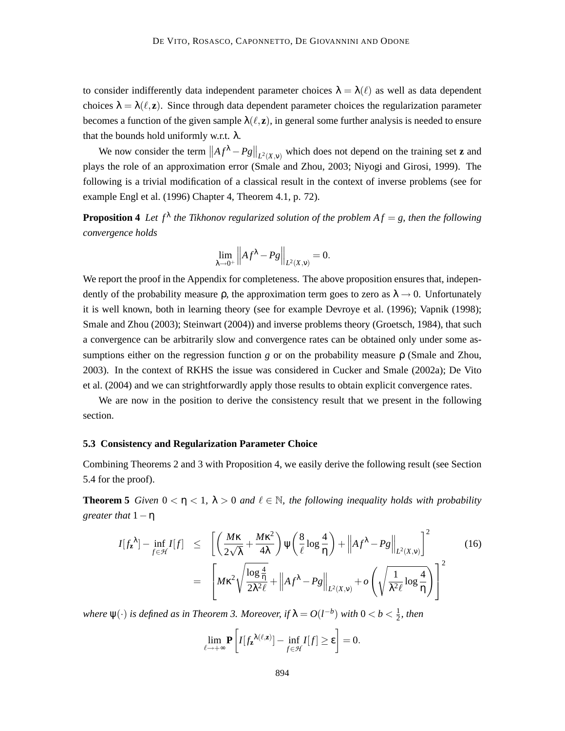to consider indifferently data independent parameter choices  $\lambda = \lambda(\ell)$  as well as data dependent choices  $\lambda = \lambda(\ell, \mathbf{z})$ . Since through data dependent parameter choices the regularization parameter becomes a function of the given sample  $\lambda(\ell, z)$ , in general some further analysis is needed to ensure that the bounds hold uniformly w.r.t.  $\lambda$ .

We now consider the term  $||Af^{\lambda} - Pg||_{L^2(X, v)}$  which does not depend on the training set **z** and plays the role of an approximation error (Smale and Zhou, 2003; Niyogi and Girosi, 1999). The following is a trivial modification of a classical result in the context of inverse problems (see for example Engl et al. (1996) Chapter 4, Theorem 4.1, p. 72).

**Proposition 4** Let  $f^{\lambda}$  the Tikhonov regularized solution of the problem  $Af = g$ , then the following *convergence holds*

$$
\lim_{\lambda \to 0^+} ||A f^{\lambda} - P g||_{L^2(X, v)} = 0.
$$

We report the proof in the Appendix for completeness. The above proposition ensures that, independently of the probability measure  $\rho$ , the approximation term goes to zero as  $\lambda \rightarrow 0$ . Unfortunately it is well known, both in learning theory (see for example Devroye et al. (1996); Vapnik (1998); Smale and Zhou (2003); Steinwart (2004)) and inverse problems theory (Groetsch, 1984), that such a convergence can be arbitrarily slow and convergence rates can be obtained only under some assumptions either on the regression function *g* or on the probability measure ρ (Smale and Zhou, 2003). In the context of RKHS the issue was considered in Cucker and Smale (2002a); De Vito et al. (2004) and we can strightforwardly apply those results to obtain explicit convergence rates.

We are now in the position to derive the consistency result that we present in the following section.

### **5.3 Consistency and Regularization Parameter Choice**

Combining Theorems 2 and 3 with Proposition 4, we easily derive the following result (see Section 5.4 for the proof).

**Theorem 5** *Given*  $0 < \eta < 1$ ,  $\lambda > 0$  *and*  $\ell \in \mathbb{N}$ *, the following inequality holds with probability greater that* 1−η

$$
I[f_{\mathbf{z}}^{\lambda}] - \inf_{f \in \mathcal{H}} I[f] \leq \left[ \left( \frac{M\kappa}{2\sqrt{\lambda}} + \frac{M\kappa^2}{4\lambda} \right) \psi \left( \frac{8}{\ell} \log \frac{4}{\eta} \right) + \left\| Af^{\lambda} - Pg \right\|_{L^2(X,v)} \right]^2
$$
  

$$
= \left[ M\kappa^2 \sqrt{\frac{\log \frac{4}{\eta}}{2\lambda^2 \ell}} + \left\| Af^{\lambda} - Pg \right\|_{L^2(X,v)} + o \left( \sqrt{\frac{1}{\lambda^2 \ell} \log \frac{4}{\eta}} \right) \right]^2
$$
(16)

*where*  $\psi(\cdot)$  *is defined as in Theorem 3. Moreover, if*  $\lambda = O(l^{-b})$  *with*  $0 < b < \frac{1}{2}$  $\frac{1}{2}$ , then

$$
\lim_{\ell \to +\infty} \mathbf{P}\left[I[f_{\mathbf{z}}^{\lambda(\ell,\mathbf{z})}] - \inf_{f \in \mathcal{H}} I[f] \geq \epsilon\right] = 0.
$$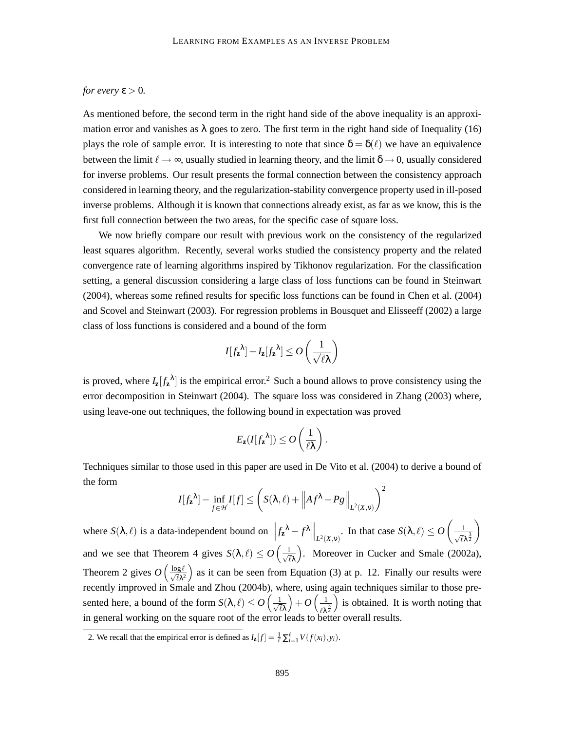# *for every*  $\varepsilon > 0$ *.*

As mentioned before, the second term in the right hand side of the above inequality is an approximation error and vanishes as  $\lambda$  goes to zero. The first term in the right hand side of Inequality (16) plays the role of sample error. It is interesting to note that since  $\delta = \delta(\ell)$  we have an equivalence between the limit  $\ell \to \infty$ , usually studied in learning theory, and the limit  $\delta \to 0$ , usually considered for inverse problems. Our result presents the formal connection between the consistency approach considered in learning theory, and the regularization-stability convergence property used in ill-posed inverse problems. Although it is known that connections already exist, as far as we know, this is the first full connection between the two areas, for the specific case of square loss.

We now briefly compare our result with previous work on the consistency of the regularized least squares algorithm. Recently, several works studied the consistency property and the related convergence rate of learning algorithms inspired by Tikhonov regularization. For the classification setting, a general discussion considering a large class of loss functions can be found in Steinwart (2004), whereas some refined results for specific loss functions can be found in Chen et al. (2004) and Scovel and Steinwart (2003). For regression problems in Bousquet and Elisseeff (2002) a large class of loss functions is considered and a bound of the form

$$
I[f_{\mathbf{z}}^{\lambda}] - I_{\mathbf{z}}[f_{\mathbf{z}}^{\lambda}] \leq O\left(\frac{1}{\sqrt{\ell}\lambda}\right)
$$

is proved, where  $I_{\mathbf{z}}[f_{\mathbf{z}}^{\lambda}]$  is the empirical error.<sup>2</sup> Such a bound allows to prove consistency using the error decomposition in Steinwart (2004). The square loss was considered in Zhang (2003) where, using leave-one out techniques, the following bound in expectation was proved

$$
E_{\mathbf{z}}(I[f_{\mathbf{z}}^{\lambda}]) \leq O\left(\frac{1}{\ell\lambda}\right).
$$

Techniques similar to those used in this paper are used in De Vito et al. (2004) to derive a bound of the form 2

$$
I[f_{\mathbf{z}}^{\lambda}] - \inf_{f \in \mathcal{H}} I[f] \leq \left( S(\lambda, \ell) + \left\| A f^{\lambda} - P g \right\|_{L^{2}(X, \mathbf{v})} \right)^{2}
$$

where  $S(\lambda, \ell)$  is a data-independent bound on  $||f_{\mathbf{z}}^{\lambda} - f^{\lambda}||_{L^2(X, v)}$ . In that case  $S(\lambda, \ell) \leq O\left(\frac{1}{\sqrt{\ell}}\right)$  $\sqrt{\ell} \lambda^{\frac{3}{2}}$  $\setminus$ and we see that Theorem 4 gives  $S(\lambda, \ell) \le O\left(\frac{1}{\sqrt{\ell}}\right)$  $\ell\lambda$  . Moreover in Cucker and Smale (2002a), Theorem 2 gives  $O\left(\frac{\log \ell}{\sqrt{\ell \lambda^2}}\right)$  as it can be seen from Equation (3) at p. 12. Finally our results were recently improved in Smale and Zhou (2004b), where, using again techniques similar to those presented here, a bound of the form  $S(\lambda, \ell) \le O\left(\frac{1}{\sqrt{\ell}}\right)$  $\ell \lambda$  $+O\left(\frac{1}{2}\right)$  $\ell$ λ $\frac{3}{2}$ ) is obtained. It is worth noting that in general working on the square root of the error leads to better overall results.

<sup>2.</sup> We recall that the empirical error is defined as  $I_{\mathbf{z}}[f] = \frac{1}{\ell} \sum_{i=1}^{\ell} V(f(x_i), y_i)$ .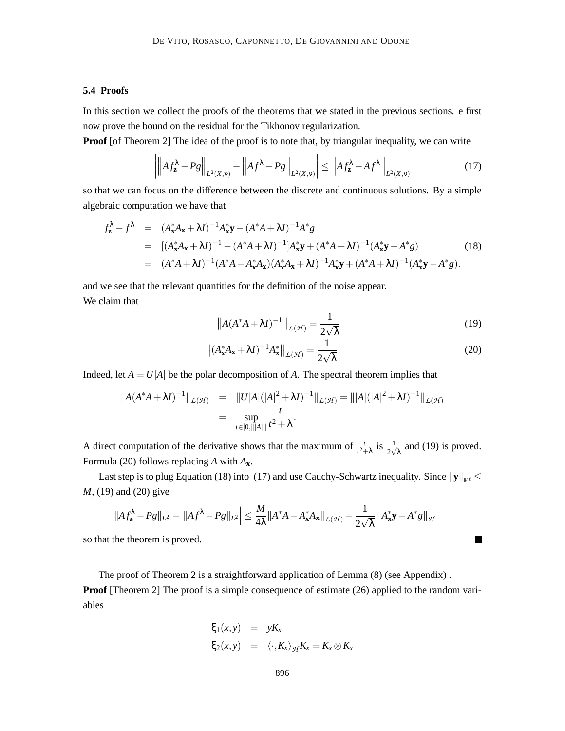# **5.4 Proofs**

 $\mathbf{I}$ 

In this section we collect the proofs of the theorems that we stated in the previous sections. e first now prove the bound on the residual for the Tikhonov regularization.

**Proof** [of Theorem 2] The idea of the proof is to note that, by triangular inequality, we can write

$$
\left| \left\| A f_{\mathbf{z}}^{\lambda} - P g \right\|_{L^2(X,\mathbf{v})} - \left\| A f^{\lambda} - P g \right\|_{L^2(X,\mathbf{v})} \right| \le \left\| A f_{\mathbf{z}}^{\lambda} - A f^{\lambda} \right\|_{L^2(X,\mathbf{v})}
$$
(17)

so that we can focus on the difference between the discrete and continuous solutions. By a simple algebraic computation we have that

$$
f_{\mathbf{z}}^{\lambda} - f^{\lambda} = (A_{\mathbf{x}}^{*} A_{\mathbf{x}} + \lambda I)^{-1} A_{\mathbf{x}}^{*} \mathbf{y} - (A^{*} A + \lambda I)^{-1} A^{*} g
$$
  
\n
$$
= [(A_{\mathbf{x}}^{*} A_{\mathbf{x}} + \lambda I)^{-1} - (A^{*} A + \lambda I)^{-1}] A_{\mathbf{x}}^{*} \mathbf{y} + (A^{*} A + \lambda I)^{-1} (A_{\mathbf{x}}^{*} \mathbf{y} - A^{*} g)
$$
(18)  
\n
$$
= (A^{*} A + \lambda I)^{-1} (A^{*} A - A_{\mathbf{x}}^{*} A_{\mathbf{x}}) (A_{\mathbf{x}}^{*} A_{\mathbf{x}} + \lambda I)^{-1} A_{\mathbf{x}}^{*} \mathbf{y} + (A^{*} A + \lambda I)^{-1} (A_{\mathbf{x}}^{*} \mathbf{y} - A^{*} g).
$$

and we see that the relevant quantities for the definition of the noise appear. We claim that

$$
\left\|A(A^*A + \lambda I)^{-1}\right\|_{\mathcal{L}(\mathcal{H})} = \frac{1}{2\sqrt{\lambda}}\tag{19}
$$

 $\blacksquare$ 

$$
\left\| (A_{\mathbf{x}}^* A_{\mathbf{x}} + \lambda I)^{-1} A_{\mathbf{x}}^* \right\|_{\mathcal{L}(\mathcal{H})} = \frac{1}{2\sqrt{\lambda}}.
$$
 (20)

Indeed, let  $A = U|A|$  be the polar decomposition of A. The spectral theorem implies that

$$
||A(A^*A + \lambda I)^{-1}||_{\mathcal{L}(\mathcal{H})} = ||U|A|(|A|^2 + \lambda I)^{-1}||_{\mathcal{L}(\mathcal{H})} = ||A|(|A|^2 + \lambda I)^{-1}||_{\mathcal{L}(\mathcal{H})}
$$
  
= 
$$
\sup_{t \in [0, ||A||]} \frac{t}{t^2 + \lambda}.
$$

A direct computation of the derivative shows that the maximum of  $\frac{t}{t^2 + \lambda}$  is  $\frac{1}{2\sqrt{\lambda}}$  and (19) is proved. Formula (20) follows replacing *A* with *A***x**.

Last step is to plug Equation (18) into (17) and use Cauchy-Schwartz inequality. Since  $\|\mathbf{y}\|_{\mathbf{E}^{\ell}} \leq$ *M*, (19) and (20) give

$$
\left|\|Af_{\mathbf{z}}^{\lambda}-Pg\|_{L^2}-\|Af^{\lambda}-Pg\|_{L^2}\right|\leq \frac{M}{4\lambda}\|A^*A-A_{\mathbf{x}}^*A_{\mathbf{x}}\|_{\mathcal{L}(\mathcal{H})}+\frac{1}{2\sqrt{\lambda}}\left\|A_{\mathbf{x}}^*{\mathbf{y}}-A^*g\right\|_{\mathcal{H}}
$$

so that the theorem is proved.

The proof of Theorem 2 is a straightforward application of Lemma (8) (see Appendix) . **Proof** [Theorem 2] The proof is a simple consequence of estimate (26) applied to the random variables

$$
\xi_1(x, y) = yK_x
$$
  

$$
\xi_2(x, y) = \langle \cdot, K_x \rangle_{\mathcal{H}} K_x = K_x \otimes K_x
$$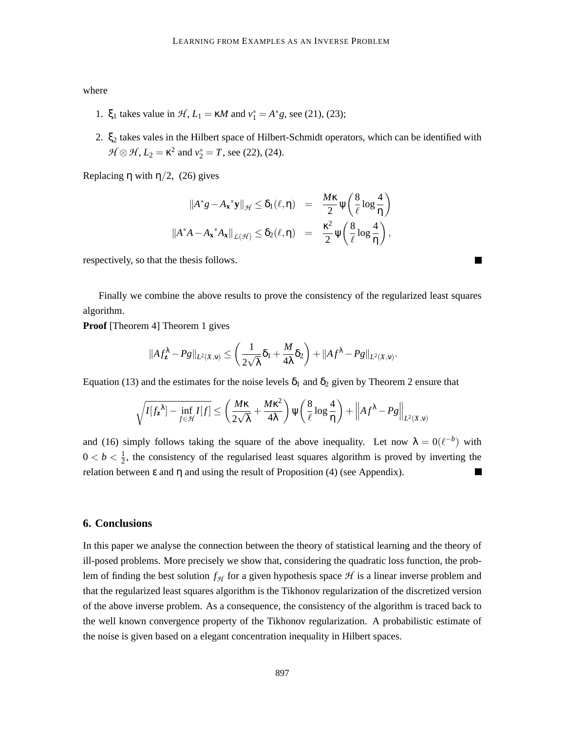where

- 1.  $\xi_1$  takes value in  $H$ ,  $L_1 = \kappa M$  and  $v_1^* = A^*g$ , see (21), (23);
- 2. ξ<sup>2</sup> takes vales in the Hilbert space of Hilbert-Schmidt operators, which can be identified with  $H \otimes H$ ,  $L_2 = \kappa^2$  and  $v_2^* = T$ , see (22), (24).

Replacing  $\eta$  with  $\eta/2$ , (26) gives

$$
||A^*g - A_{\mathbf{x}}^* \mathbf{y}||_{\mathcal{H}} \le \delta_1(\ell, \eta) = \frac{M\kappa}{2} \psi\left(\frac{8}{\ell} \log \frac{4}{\eta}\right)
$$
  

$$
||A^*A - A_{\mathbf{x}}^* A_{\mathbf{x}}||_{\mathcal{L}(\mathcal{H})} \le \delta_2(\ell, \eta) = \frac{\kappa^2}{2} \psi\left(\frac{8}{\ell} \log \frac{4}{\eta}\right),
$$

respectively, so that the thesis follows.

Finally we combine the above results to prove the consistency of the regularized least squares algorithm.

**Proof** [Theorem 4] Theorem 1 gives

$$
||Af_{\mathbf{z}}^{\lambda}-Pg||_{L^2(X,\nu)} \leq \left(\frac{1}{2\sqrt{\lambda}}\delta_1+\frac{M}{4\lambda}\delta_2\right)+||Af^{\lambda}-Pg||_{L^2(X,\nu)}.
$$

Equation (13) and the estimates for the noise levels  $\delta_1$  and  $\delta_2$  given by Theorem 2 ensure that

$$
\sqrt{I[f_{\mathbf{z}}^{\lambda}] - \inf_{f \in \mathcal{H}} I[f]} \leq \left(\frac{M\kappa}{2\sqrt{\lambda}} + \frac{M\kappa^2}{4\lambda}\right) \psi\left(\frac{8}{\ell}\log\frac{4}{\eta}\right) + \left\|Af^{\lambda} - Pg\right\|_{L^2(X, \nu)}
$$

and (16) simply follows taking the square of the above inequality. Let now  $\lambda = O(\ell^{-b})$  with  $0 < b < \frac{1}{2}$  $\frac{1}{2}$ , the consistency of the regularised least squares algorithm is proved by inverting the relation between  $ε$  and  $η$  and using the result of Proposition (4) (see Appendix).

### **6. Conclusions**

In this paper we analyse the connection between the theory of statistical learning and the theory of ill-posed problems. More precisely we show that, considering the quadratic loss function, the problem of finding the best solution  $f_{\mathcal{H}}$  for a given hypothesis space  $\mathcal{H}$  is a linear inverse problem and that the regularized least squares algorithm is the Tikhonov regularization of the discretized version of the above inverse problem. As a consequence, the consistency of the algorithm is traced back to the well known convergence property of the Tikhonov regularization. A probabilistic estimate of the noise is given based on a elegant concentration inequality in Hilbert spaces.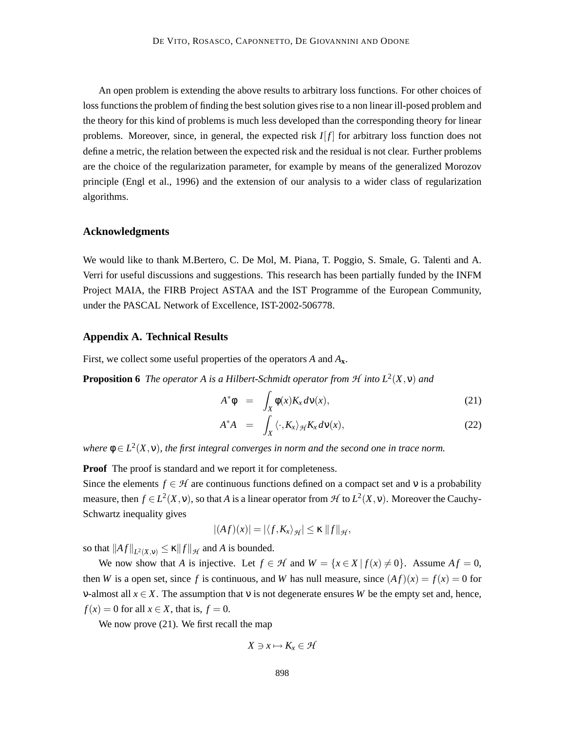An open problem is extending the above results to arbitrary loss functions. For other choices of loss functions the problem of finding the best solution gives rise to a non linear ill-posed problem and the theory for this kind of problems is much less developed than the corresponding theory for linear problems. Moreover, since, in general, the expected risk  $I[f]$  for arbitrary loss function does not define a metric, the relation between the expected risk and the residual is not clear. Further problems are the choice of the regularization parameter, for example by means of the generalized Morozov principle (Engl et al., 1996) and the extension of our analysis to a wider class of regularization algorithms.

### **Acknowledgments**

We would like to thank M.Bertero, C. De Mol, M. Piana, T. Poggio, S. Smale, G. Talenti and A. Verri for useful discussions and suggestions. This research has been partially funded by the INFM Project MAIA, the FIRB Project ASTAA and the IST Programme of the European Community, under the PASCAL Network of Excellence, IST-2002-506778.

### **Appendix A. Technical Results**

First, we collect some useful properties of the operators *A* and *A***x**.

**Proposition 6** The operator A is a Hilbert-Schmidt operator from  $H$  into  $L^2(X, v)$  and

$$
A^*\phi = \int_X \phi(x)K_x d\nu(x), \qquad (21)
$$

$$
A^*A = \int_X \langle \cdot, K_x \rangle_{\mathcal{H}} K_x d\nu(x), \qquad (22)
$$

where  $\phi \in L^2(X, v)$ , the first integral converges in norm and the second one in trace norm.

**Proof** The proof is standard and we report it for completeness.

Since the elements  $f \in H$  are continuous functions defined on a compact set and v is a probability measure, then  $f \in L^2(X, v)$ , so that *A* is a linear operator from  $\mathcal H$  to  $L^2(X, v)$ . Moreover the Cauchy-Schwartz inequality gives

$$
|(Af)(x)| = |\langle f, K_x \rangle_{\mathcal{H}}| \leq \kappa \|f\|_{\mathcal{H}},
$$

so that  $||Af||_{L^2(X, v)} \le \kappa ||f||_{\mathcal{H}}$  and *A* is bounded.

We now show that *A* is injective. Let  $f \in \mathcal{H}$  and  $W = \{x \in X | f(x) \neq 0\}$ . Assume  $Af = 0$ , then *W* is a open set, since *f* is continuous, and *W* has null measure, since  $(Af)(x) = f(x) = 0$  for v-almost all  $x \in X$ . The assumption that v is not degenerate ensures *W* be the empty set and, hence,  $f(x) = 0$  for all  $x \in X$ , that is,  $f = 0$ .

We now prove  $(21)$ . We first recall the map

$$
X \ni x \mapsto K_x \in \mathcal{H}
$$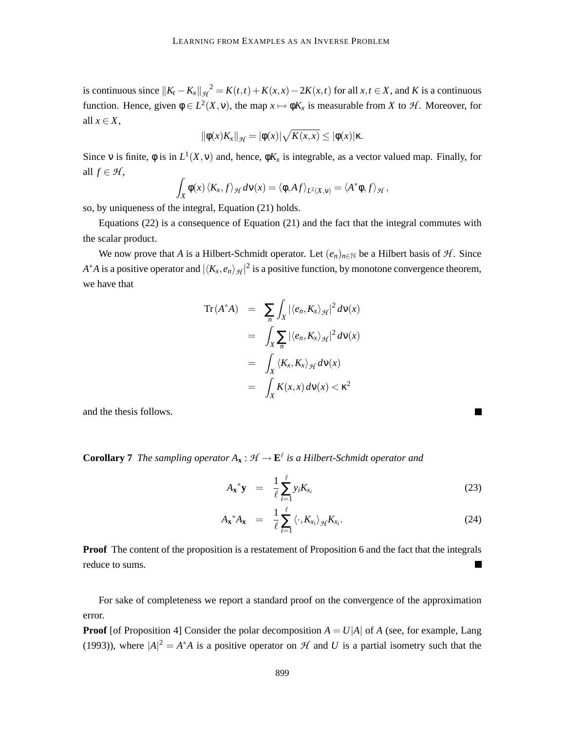is continuous since  $||K_t - K_x||_{\mathcal{H}}^2 = K(t,t) + K(x,x) - 2K(x,t)$  for all  $x, t \in X$ , and *K* is a continuous function. Hence, given  $\phi \in L^2(X, v)$ , the map  $x \mapsto \phi K_x$  is measurable from *X* to *H*. Moreover, for all  $x \in X$ ,

$$
\|\phi(x)K_x\|_{\mathcal{H}} = |\phi(x)|\sqrt{K(x,x)} \leq |\phi(x)|\kappa.
$$

Since v is finite,  $\phi$  is in  $L^1(X, v)$  and, hence,  $\phi K_x$  is integrable, as a vector valued map. Finally, for all  $f \in \mathcal{H}$ ,

$$
\int_X \phi(x) \langle K_x, f \rangle_{\mathcal{H}} d\nu(x) = \langle \phi, Af \rangle_{L^2(X, \nu)} = \langle A^* \phi, f \rangle_{\mathcal{H}},
$$

so, by uniqueness of the integral, Equation (21) holds.

Equations (22) is a consequence of Equation (21) and the fact that the integral commutes with the scalar product.

We now prove that *A* is a Hilbert-Schmidt operator. Let  $(e_n)_{n\in\mathbb{N}}$  be a Hilbert basis of *H*. Since *A*<sup>\*</sup>*A* is a positive operator and  $|\langle K_x, e_n \rangle_{\mathcal{H}}|^2$  is a positive function, by monotone convergence theorem, we have that

$$
\operatorname{Tr}(A^*A) = \sum_{n} \int_X |\langle e_n, K_x \rangle_{\mathcal{H}}|^2 d\nu(x)
$$
  
= 
$$
\int_X \sum_{n} |\langle e_n, K_x \rangle_{\mathcal{H}}|^2 d\nu(x)
$$
  
= 
$$
\int_X \langle K_x, K_x \rangle_{\mathcal{H}} d\nu(x)
$$
  
= 
$$
\int_X K(x, x) d\nu(x) < \kappa^2
$$

and the thesis follows.

**Corollary 7** The sampling operator  $A_{\bf x}$  :  $\mathcal{H} \to \mathbf{E}^{\ell}$  is a Hilbert-Schmidt operator and

$$
A_{\mathbf{x}}^* \mathbf{y} = \frac{1}{\ell} \sum_{i=1}^{\ell} y_i K_{x_i} \tag{23}
$$

$$
A_{\mathbf{x}}^* A_{\mathbf{x}} = \frac{1}{\ell} \sum_{i=1}^{\ell} \langle \cdot, K_{x_i} \rangle_{\mathcal{H}} K_{x_i}.
$$
 (24)

**Proof** The content of the proposition is a restatement of Proposition 6 and the fact that the integrals reduce to sums.  $\blacksquare$ 

For sake of completeness we report a standard proof on the convergence of the approximation error.

**Proof** [of Proposition 4] Consider the polar decomposition  $A = U|A|$  of A (see, for example, Lang (1993)), where  $|A|^2 = A^*A$  is a positive operator on  $\mathcal H$  and  $U$  is a partial isometry such that the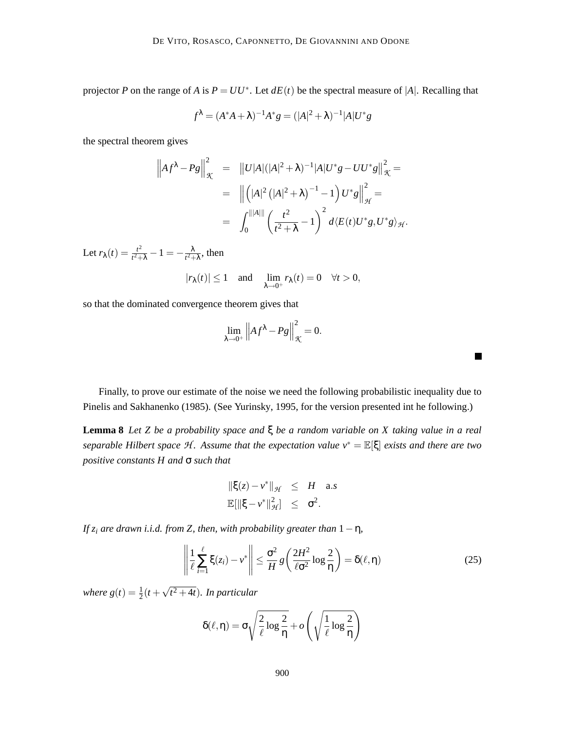projector *P* on the range of *A* is  $P = UU^*$ . Let  $dE(t)$  be the spectral measure of |*A*|. Recalling that

$$
f^{\lambda} = (A^*A + \lambda)^{-1}A^*g = (|A|^2 + \lambda)^{-1}|A|U^*g
$$

the spectral theorem gives

$$
\left\| A f^{\lambda} - P g \right\|_{\mathcal{K}}^{2} = \| U |A| (|A|^{2} + \lambda)^{-1} |A| U^{*} g - U U^{*} g \right\|_{\mathcal{K}}^{2} =
$$
  

$$
= \| (|A|^{2} (|A|^{2} + \lambda)^{-1} - 1) U^{*} g \right\|_{\mathcal{H}}^{2} =
$$
  

$$
= \int_{0}^{||A||} \left( \frac{t^{2}}{t^{2} + \lambda} - 1 \right)^{2} d \langle E(t) U^{*} g, U^{*} g \rangle_{\mathcal{H}}.
$$

Let  $r_{\lambda}(t) = \frac{t^2}{t^2+1}$  $\frac{t^2}{t^2+\lambda}-1=-\frac{\lambda}{t^2+\lambda}$  $\frac{\lambda}{t^2 + \lambda}$ , then

$$
|r_{\lambda}(t)|\leq 1\quad\text{and}\quad \lim_{\lambda\to 0^+}r_{\lambda}(t)=0\quad\forall t>0,
$$

so that the dominated convergence theorem gives that

$$
\lim_{\lambda \to 0^+} \left\| Af^{\lambda} - Pg \right\|_{\mathcal{K}}^2 = 0.
$$

Finally, to prove our estimate of the noise we need the following probabilistic inequality due to Pinelis and Sakhanenko (1985). (See Yurinsky, 1995, for the version presented int he following.)

**Lemma 8** *Let Z be a probability space and* ξ *be a random variable on X taking value in a real separable Hilbert space* H *. Assume that the expectation value v*<sup>∗</sup> = E[ξ] *exists and there are two positive constants H and* σ *such that*

$$
\begin{array}{rcl}\|\xi(z)-v^*\|_{\mathcal{H}}&\leq&H\quad\text{a.s.}\\ \mathbb{E}[\|\xi-v^*\|_{\mathcal{H}}^2]\quad\leq&\sigma^2.\end{array}
$$

*If*  $z_i$  *are drawn i.i.d. from Z, then, with probability greater than*  $1 - \eta$ *,* 

$$
\left\| \frac{1}{\ell} \sum_{i=1}^{\ell} \xi(z_i) - v^* \right\| \leq \frac{\sigma^2}{H} g\left(\frac{2H^2}{\ell \sigma^2} \log \frac{2}{\eta}\right) = \delta(\ell, \eta)
$$
 (25)

٠

where  $g(t) = \frac{1}{2}(t + \sqrt{t^2 + 4t})$ . In particular

$$
\delta(\ell,\eta) = \sigma \sqrt{\frac{2}{\ell} \log \frac{2}{\eta}} + o\left(\sqrt{\frac{1}{\ell} \log \frac{2}{\eta}}\right)
$$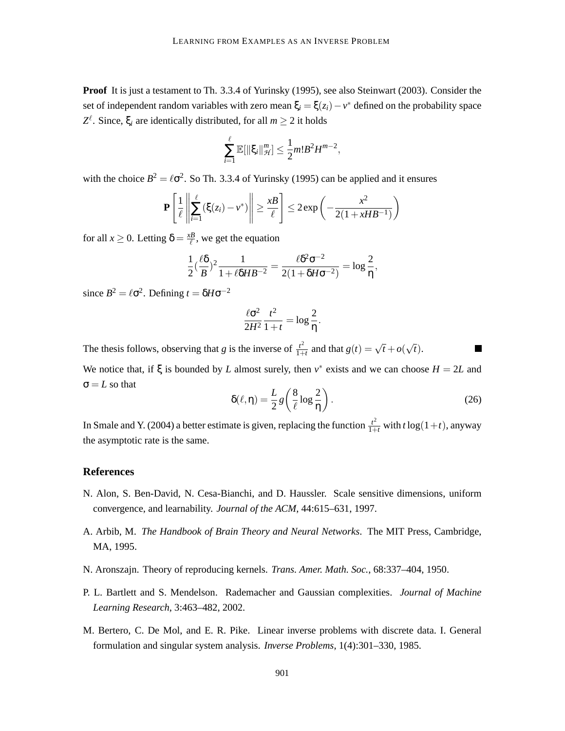**Proof** It is just a testament to Th. 3.3.4 of Yurinsky (1995), see also Steinwart (2003). Consider the set of independent random variables with zero mean  $\xi_i = \xi(z_i) - v^*$  defined on the probability space  $Z^{\ell}$ . Since,  $\xi_i$  are identically distributed, for all *m*  $\geq$  2 it holds

$$
\sum_{i=1}^{\ell} \mathbb{E}[\|\xi_i\|_{\mathcal{H}}^m] \leq \frac{1}{2} m! B^2 H^{m-2},
$$

with the choice  $B^2 = \ell \sigma^2$ . So Th. 3.3.4 of Yurinsky (1995) can be applied and it ensures

$$
\mathbf{P}\left[\frac{1}{\ell}\left\|\sum_{i=1}^{\ell}(\xi(z_i)-v^*)\right\|\geq \frac{xB}{\ell}\right]\leq 2\exp\left(-\frac{x^2}{2(1+xB^{-1})}\right)
$$

for all  $x \ge 0$ . Letting  $\delta = \frac{xB}{\ell}$  $\frac{dB}{dt}$ , we get the equation

$$
\frac{1}{2}(\frac{\ell\delta}{B})^2 \frac{1}{1+\ell\delta H B^{-2}} = \frac{\ell\delta^2 \sigma^{-2}}{2(1+\delta H \sigma^{-2})} = \log\frac{2}{\eta},
$$

since  $B^2 = \ell \sigma^2$ . Defining  $t = \delta H \sigma^{-2}$ 

$$
\frac{\ell \sigma^2}{2H^2} \frac{t^2}{1+t} = \log \frac{2}{\eta}.
$$

The thesis follows, observing that *g* is the inverse of  $\frac{t^2}{1+t^2}$  $\frac{t^2}{1+t}$  and that  $g(t) = \sqrt{t} + o(\sqrt{t}).$ 

We notice that, if  $\xi$  is bounded by *L* almost surely, then  $v^*$  exists and we can choose  $H = 2L$  and  $\sigma = L$  so that

$$
\delta(\ell, \eta) = \frac{L}{2} g\left(\frac{8}{\ell} \log \frac{2}{\eta}\right). \tag{26}
$$

T

In Smale and Y. (2004) a better estimate is given, replacing the function  $\frac{t^2}{1+t}$  with  $t \log(1+t)$ , anyway the asymptotic rate is the same.

# **References**

- N. Alon, S. Ben-David, N. Cesa-Bianchi, and D. Haussler. Scale sensitive dimensions, uniform convergence, and learnability. *Journal of the ACM*, 44:615–631, 1997.
- A. Arbib, M. *The Handbook of Brain Theory and Neural Networks*. The MIT Press, Cambridge, MA, 1995.
- N. Aronszajn. Theory of reproducing kernels. *Trans. Amer. Math. Soc.*, 68:337–404, 1950.
- P. L. Bartlett and S. Mendelson. Rademacher and Gaussian complexities. *Journal of Machine Learning Research*, 3:463–482, 2002.
- M. Bertero, C. De Mol, and E. R. Pike. Linear inverse problems with discrete data. I. General formulation and singular system analysis. *Inverse Problems*, 1(4):301–330, 1985.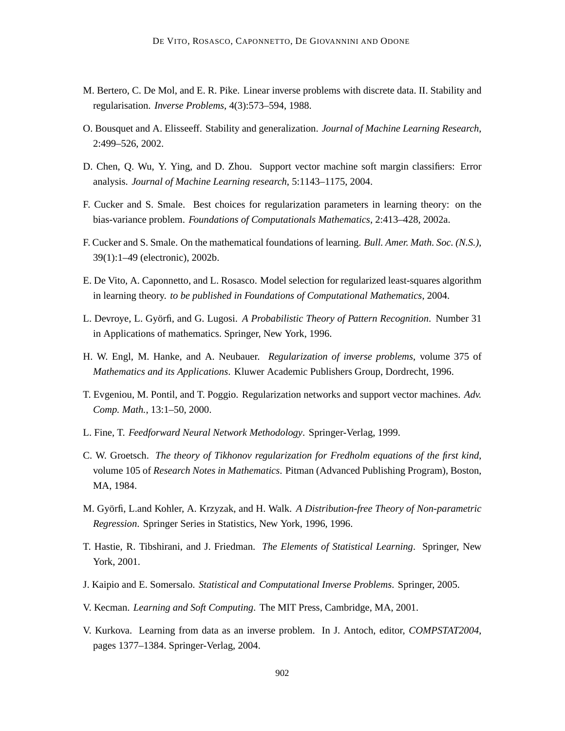- M. Bertero, C. De Mol, and E. R. Pike. Linear inverse problems with discrete data. II. Stability and regularisation. *Inverse Problems*, 4(3):573–594, 1988.
- O. Bousquet and A. Elisseeff. Stability and generalization. *Journal of Machine Learning Research*, 2:499–526, 2002.
- D. Chen, Q. Wu, Y. Ying, and D. Zhou. Support vector machine soft margin classifiers: Error analysis. *Journal of Machine Learning research*, 5:1143–1175, 2004.
- F. Cucker and S. Smale. Best choices for regularization parameters in learning theory: on the bias-variance problem. *Foundations of Computationals Mathematics*, 2:413–428, 2002a.
- F. Cucker and S. Smale. On the mathematical foundations of learning. *Bull. Amer. Math. Soc. (N.S.)*, 39(1):1–49 (electronic), 2002b.
- E. De Vito, A. Caponnetto, and L. Rosasco. Model selection for regularized least-squares algorithm in learning theory. *to be published in Foundations of Computational Mathematics*, 2004.
- L. Devroye, L. Györfi, and G. Lugosi. A Probabilistic Theory of Pattern Recognition. Number 31 in Applications of mathematics. Springer, New York, 1996.
- H. W. Engl, M. Hanke, and A. Neubauer. *Regularization of inverse problems*, volume 375 of *Mathematics and its Applications*. Kluwer Academic Publishers Group, Dordrecht, 1996.
- T. Evgeniou, M. Pontil, and T. Poggio. Regularization networks and support vector machines. *Adv. Comp. Math.*, 13:1–50, 2000.
- L. Fine, T. *Feedforward Neural Network Methodology*. Springer-Verlag, 1999.
- C. W. Groetsch. *The theory of Tikhonov regularization for Fredholm equations of the first kind*, volume 105 of *Research Notes in Mathematics*. Pitman (Advanced Publishing Program), Boston, MA, 1984.
- M. Györfi, L.and Kohler, A. Krzyzak, and H. Walk. A Distribution-free Theory of Non-parametric *Regression*. Springer Series in Statistics, New York, 1996, 1996.
- T. Hastie, R. Tibshirani, and J. Friedman. *The Elements of Statistical Learning*. Springer, New York, 2001.
- J. Kaipio and E. Somersalo. *Statistical and Computational Inverse Problems*. Springer, 2005.
- V. Kecman. *Learning and Soft Computing*. The MIT Press, Cambridge, MA, 2001.
- V. Kurkova. Learning from data as an inverse problem. In J. Antoch, editor, *COMPSTAT2004*, pages 1377–1384. Springer-Verlag, 2004.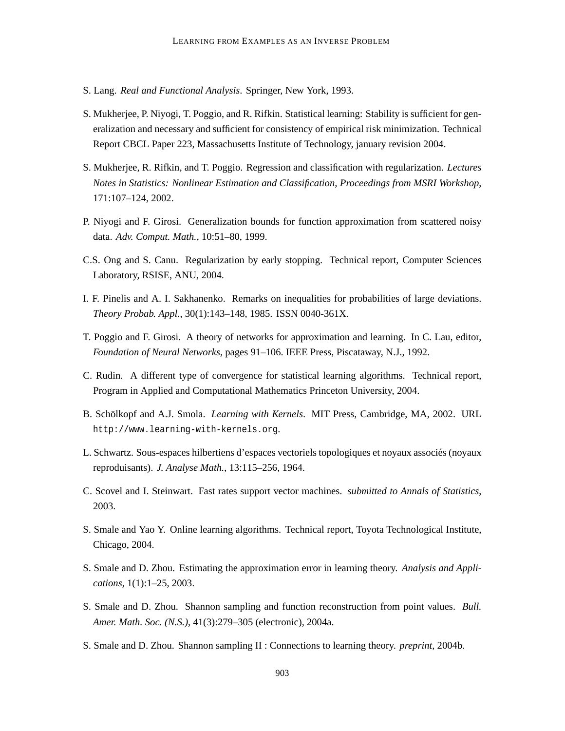- S. Lang. *Real and Functional Analysis*. Springer, New York, 1993.
- S. Mukherjee, P. Niyogi, T. Poggio, and R. Rifkin. Statistical learning: Stability is sufficient for generalization and necessary and sufficient for consistency of empirical risk minimization. Technical Report CBCL Paper 223, Massachusetts Institute of Technology, january revision 2004.
- S. Mukherjee, R. Rifkin, and T. Poggio. Regression and classification with regularization. *Lectures Notes in Statistics: Nonlinear Estimation and Classification, Proceedings from MSRI Workshop*, 171:107–124, 2002.
- P. Niyogi and F. Girosi. Generalization bounds for function approximation from scattered noisy data. *Adv. Comput. Math.*, 10:51–80, 1999.
- C.S. Ong and S. Canu. Regularization by early stopping. Technical report, Computer Sciences Laboratory, RSISE, ANU, 2004.
- I. F. Pinelis and A. I. Sakhanenko. Remarks on inequalities for probabilities of large deviations. *Theory Probab. Appl.*, 30(1):143–148, 1985. ISSN 0040-361X.
- T. Poggio and F. Girosi. A theory of networks for approximation and learning. In C. Lau, editor, *Foundation of Neural Networks*, pages 91–106. IEEE Press, Piscataway, N.J., 1992.
- C. Rudin. A different type of convergence for statistical learning algorithms. Technical report, Program in Applied and Computational Mathematics Princeton University, 2004.
- B. Schölkopf and A.J. Smola. *Learning with Kernels*. MIT Press, Cambridge, MA, 2002. URL http://www.learning-with-kernels.org.
- L. Schwartz. Sous-espaces hilbertiens d'espaces vectoriels topologiques et noyaux associes (noyaux ´ reproduisants). *J. Analyse Math.*, 13:115–256, 1964.
- C. Scovel and I. Steinwart. Fast rates support vector machines. *submitted to Annals of Statistics*, 2003.
- S. Smale and Yao Y. Online learning algorithms. Technical report, Toyota Technological Institute, Chicago, 2004.
- S. Smale and D. Zhou. Estimating the approximation error in learning theory. *Analysis and Applications*, 1(1):1–25, 2003.
- S. Smale and D. Zhou. Shannon sampling and function reconstruction from point values. *Bull. Amer. Math. Soc. (N.S.)*, 41(3):279–305 (electronic), 2004a.
- S. Smale and D. Zhou. Shannon sampling II : Connections to learning theory. *preprint*, 2004b.